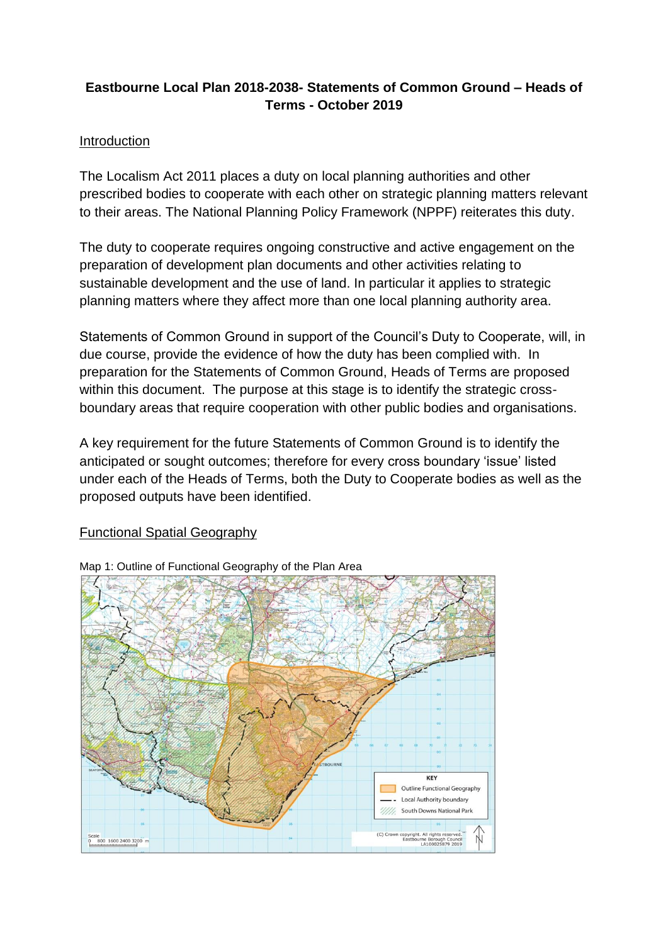# **Eastbourne Local Plan 2018-2038- Statements of Common Ground – Heads of Terms - October 2019**

## Introduction

The Localism Act 2011 places a duty on local planning authorities and other prescribed bodies to cooperate with each other on strategic planning matters relevant to their areas. The National Planning Policy Framework (NPPF) reiterates this duty.

The duty to cooperate requires ongoing constructive and active engagement on the preparation of development plan documents and other activities relating to sustainable development and the use of land. In particular it applies to strategic planning matters where they affect more than one local planning authority area.

Statements of Common Ground in support of the Council's Duty to Cooperate, will, in due course, provide the evidence of how the duty has been complied with. In preparation for the Statements of Common Ground, Heads of Terms are proposed within this document. The purpose at this stage is to identify the strategic crossboundary areas that require cooperation with other public bodies and organisations.

A key requirement for the future Statements of Common Ground is to identify the anticipated or sought outcomes; therefore for every cross boundary 'issue' listed under each of the Heads of Terms, both the Duty to Cooperate bodies as well as the proposed outputs have been identified.

## Functional Spatial Geography



Map 1: Outline of Functional Geography of the Plan Area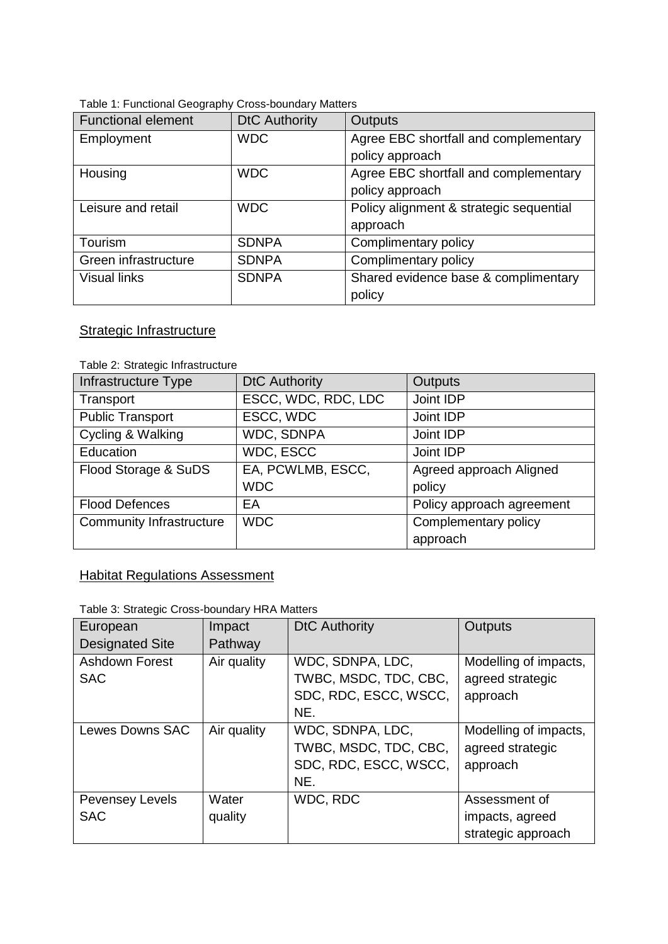| <b>Functional element</b> | <b>DtC Authority</b> | <b>Outputs</b>                          |  |  |
|---------------------------|----------------------|-----------------------------------------|--|--|
| Employment                | <b>WDC</b>           | Agree EBC shortfall and complementary   |  |  |
|                           |                      | policy approach                         |  |  |
| Housing                   | <b>WDC</b>           | Agree EBC shortfall and complementary   |  |  |
|                           |                      | policy approach                         |  |  |
| Leisure and retail        | <b>WDC</b>           | Policy alignment & strategic sequential |  |  |
|                           |                      | approach                                |  |  |
| Tourism                   | <b>SDNPA</b>         | Complimentary policy                    |  |  |
| Green infrastructure      | <b>SDNPA</b>         | Complimentary policy                    |  |  |
| <b>Visual links</b>       | <b>SDNPA</b>         | Shared evidence base & complimentary    |  |  |
|                           |                      | policy                                  |  |  |

#### Table 1: Functional Geography Cross-boundary Matters

# **Strategic Infrastructure**

#### Table 2: Strategic Infrastructure

| Infrastructure Type             | <b>DtC Authority</b> | <b>Outputs</b>            |
|---------------------------------|----------------------|---------------------------|
| Transport                       | ESCC, WDC, RDC, LDC  | Joint IDP                 |
| <b>Public Transport</b>         | ESCC, WDC            | Joint IDP                 |
| Cycling & Walking               | <b>WDC, SDNPA</b>    | Joint IDP                 |
| Education                       | WDC, ESCC            | Joint IDP                 |
| Flood Storage & SuDS            | EA, PCWLMB, ESCC,    | Agreed approach Aligned   |
|                                 | <b>WDC</b>           | policy                    |
| <b>Flood Defences</b>           | EA                   | Policy approach agreement |
| <b>Community Infrastructure</b> | <b>WDC</b>           | Complementary policy      |
|                                 |                      | approach                  |

# **Habitat Regulations Assessment**

#### Table 3: Strategic Cross-boundary HRA Matters

| European<br><b>Designated Site</b>   | Impact<br>Pathway | <b>DtC Authority</b>                                                      | <b>Outputs</b>                                         |
|--------------------------------------|-------------------|---------------------------------------------------------------------------|--------------------------------------------------------|
| <b>Ashdown Forest</b><br><b>SAC</b>  | Air quality       | WDC, SDNPA, LDC,<br>TWBC, MSDC, TDC, CBC,<br>SDC, RDC, ESCC, WSCC,<br>NE. | Modelling of impacts,<br>agreed strategic<br>approach  |
| <b>Lewes Downs SAC</b>               | Air quality       | WDC, SDNPA, LDC,<br>TWBC, MSDC, TDC, CBC,<br>SDC, RDC, ESCC, WSCC,<br>NE. | Modelling of impacts,<br>agreed strategic<br>approach  |
| <b>Pevensey Levels</b><br><b>SAC</b> | Water<br>quality  | WDC, RDC                                                                  | Assessment of<br>impacts, agreed<br>strategic approach |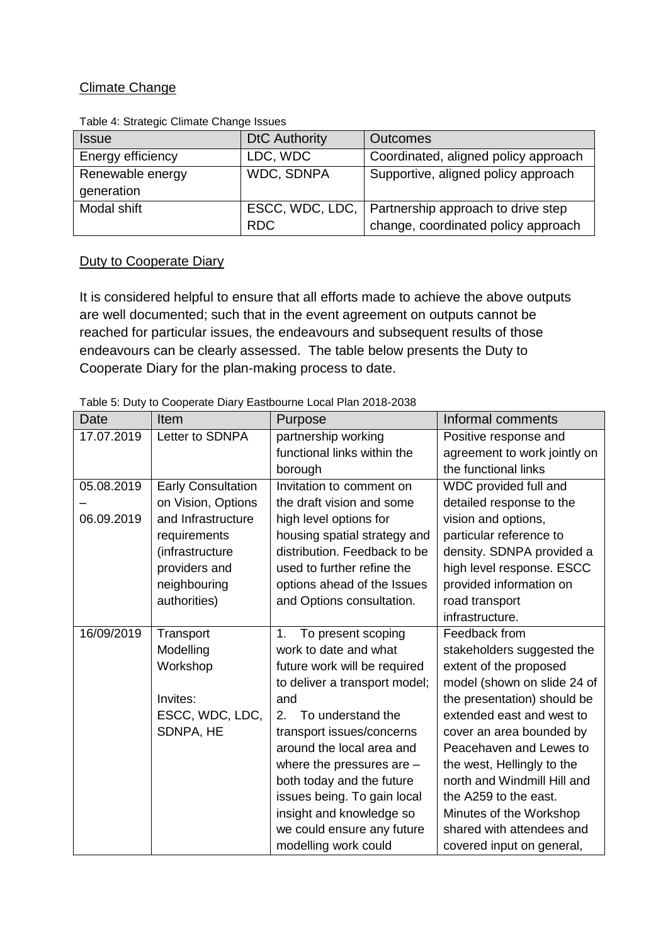### Climate Change

| $. 0.019 - 0.0010 - 0.0010 - 0.0010 - 0.00000 - 0.0000 - 0.0000 - 0.0000 - 0.0000 - 0.0000 - 0.0000 - 0.0000 - 0.0000 - 0.0000 - 0.0000 - 0.0000 - 0.0000 - 0.0000 - 0.0000 - 0.0000 - 0.0000 - 0.0000 - 0.0000 - 0.0000 - 0.0000 - 0.0000 - 0.0000 - 0.$ |                      |                                                      |  |
|-----------------------------------------------------------------------------------------------------------------------------------------------------------------------------------------------------------------------------------------------------------|----------------------|------------------------------------------------------|--|
| <b>Issue</b>                                                                                                                                                                                                                                              | <b>DtC Authority</b> | <b>Outcomes</b>                                      |  |
| Energy efficiency                                                                                                                                                                                                                                         | LDC, WDC             | Coordinated, aligned policy approach                 |  |
| Renewable energy                                                                                                                                                                                                                                          | <b>WDC, SDNPA</b>    | Supportive, aligned policy approach                  |  |
| generation                                                                                                                                                                                                                                                |                      |                                                      |  |
| Modal shift                                                                                                                                                                                                                                               |                      | ESCC, WDC, LDC,   Partnership approach to drive step |  |
|                                                                                                                                                                                                                                                           | <b>RDC</b>           | change, coordinated policy approach                  |  |

Table 4: Strategic Climate Change Issues

## **Duty to Cooperate Diary**

It is considered helpful to ensure that all efforts made to achieve the above outputs are well documented; such that in the event agreement on outputs cannot be reached for particular issues, the endeavours and subsequent results of those endeavours can be clearly assessed. The table below presents the Duty to Cooperate Diary for the plan-making process to date.

|  | Table 5: Duty to Cooperate Diary Eastbourne Local Plan 2018-2038 |  |
|--|------------------------------------------------------------------|--|

| Date       | Item                      | Purpose                             | Informal comments            |
|------------|---------------------------|-------------------------------------|------------------------------|
| 17.07.2019 | Letter to SDNPA           | partnership working                 | Positive response and        |
|            |                           | functional links within the         | agreement to work jointly on |
|            |                           | borough                             | the functional links         |
| 05.08.2019 | <b>Early Consultation</b> | Invitation to comment on            | WDC provided full and        |
|            | on Vision, Options        | the draft vision and some           | detailed response to the     |
| 06.09.2019 | and Infrastructure        | high level options for              | vision and options,          |
|            | requirements              | housing spatial strategy and        | particular reference to      |
|            | (infrastructure           | distribution. Feedback to be        | density. SDNPA provided a    |
|            | providers and             | used to further refine the          | high level response. ESCC    |
|            | neighbouring              | options ahead of the Issues         | provided information on      |
|            | authorities)              | and Options consultation.           | road transport               |
|            |                           |                                     | infrastructure.              |
| 16/09/2019 | Transport                 | To present scoping<br>1.            | Feedback from                |
|            | Modelling                 | work to date and what               | stakeholders suggested the   |
|            | Workshop                  | future work will be required        | extent of the proposed       |
|            |                           | to deliver a transport model;       | model (shown on slide 24 of  |
|            | Invites:                  | and                                 | the presentation) should be  |
|            | ESCC, WDC, LDC,           | To understand the<br>2 <sub>1</sub> | extended east and west to    |
|            | SDNPA, HE                 | transport issues/concerns           | cover an area bounded by     |
|            |                           | around the local area and           | Peacehaven and Lewes to      |
|            |                           | where the pressures are -           | the west, Hellingly to the   |
|            |                           | both today and the future           | north and Windmill Hill and  |
|            |                           | issues being. To gain local         | the A259 to the east.        |
|            |                           | insight and knowledge so            | Minutes of the Workshop      |
|            |                           | we could ensure any future          | shared with attendees and    |
|            |                           | modelling work could                | covered input on general,    |